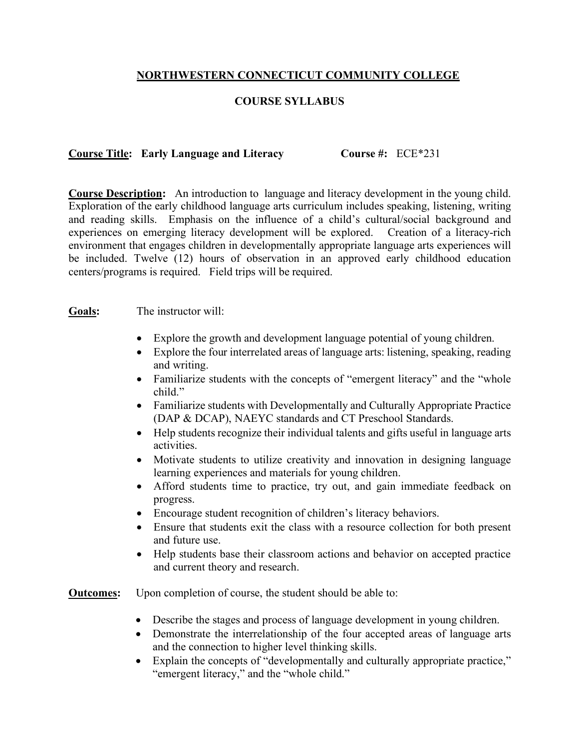## **NORTHWESTERN CONNECTICUT COMMUNITY COLLEGE**

## **COURSE SYLLABUS**

## **Course Title: Early Language and Literacy Course #:** ECE\*231

**Course Description:** An introduction to language and literacy development in the young child. Exploration of the early childhood language arts curriculum includes speaking, listening, writing and reading skills. Emphasis on the influence of a child's cultural/social background and experiences on emerging literacy development will be explored. Creation of a literacy-rich environment that engages children in developmentally appropriate language arts experiences will be included. Twelve (12) hours of observation in an approved early childhood education centers/programs is required. Field trips will be required.

## **Goals:** The instructor will:

- Explore the growth and development language potential of young children.
- Explore the four interrelated areas of language arts: listening, speaking, reading and writing.
- Familiarize students with the concepts of "emergent literacy" and the "whole child"
- Familiarize students with Developmentally and Culturally Appropriate Practice (DAP & DCAP), NAEYC standards and CT Preschool Standards.
- Help students recognize their individual talents and gifts useful in language arts activities.
- Motivate students to utilize creativity and innovation in designing language learning experiences and materials for young children.
- Afford students time to practice, try out, and gain immediate feedback on progress.
- Encourage student recognition of children's literacy behaviors.
- Ensure that students exit the class with a resource collection for both present and future use.
- Help students base their classroom actions and behavior on accepted practice and current theory and research.

**Outcomes:** Upon completion of course, the student should be able to:

- Describe the stages and process of language development in young children.
- Demonstrate the interrelationship of the four accepted areas of language arts and the connection to higher level thinking skills.
- Explain the concepts of "developmentally and culturally appropriate practice." "emergent literacy," and the "whole child."